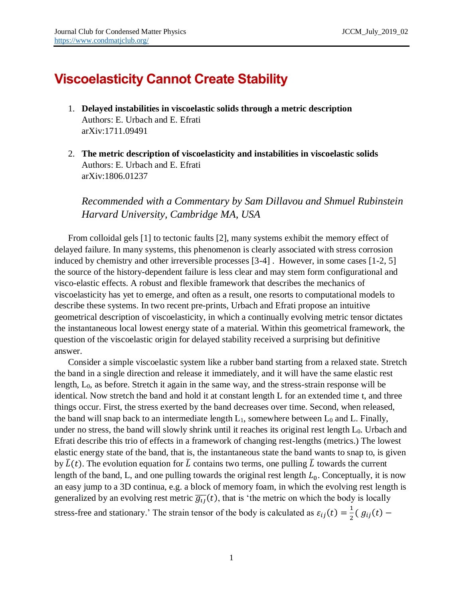## **Viscoelasticity Cannot Create Stability**

- 1. **Delayed instabilities in viscoelastic solids through a metric description** Authors: E. Urbach and E. Efrati arXiv:1711.09491
- 2. **The metric description of viscoelasticity and instabilities in viscoelastic solids** Authors: E. Urbach and E. Efrati arXiv:1806.01237

*Recommended with a Commentary by Sam Dillavou and Shmuel Rubinstein Harvard University, Cambridge MA, USA*

From colloidal gels [1] to tectonic faults [2], many systems exhibit the memory effect of delayed failure. In many systems, this phenomenon is clearly associated with stress corrosion induced by chemistry and other irreversible processes [3-4] . However, in some cases [1-2, 5] the source of the history-dependent failure is less clear and may stem form configurational and visco-elastic effects. A robust and flexible framework that describes the mechanics of viscoelasticity has yet to emerge, and often as a result, one resorts to computational models to describe these systems. In two recent pre-prints, Urbach and Efrati propose an intuitive geometrical description of viscoelasticity, in which a continually evolving metric tensor dictates the instantaneous local lowest energy state of a material. Within this geometrical framework, the question of the viscoelastic origin for delayed stability received a surprising but definitive answer.

Consider a simple viscoelastic system like a rubber band starting from a relaxed state. Stretch the band in a single direction and release it immediately, and it will have the same elastic rest length, L0, as before. Stretch it again in the same way, and the stress-strain response will be identical. Now stretch the band and hold it at constant length L for an extended time t, and three things occur. First, the stress exerted by the band decreases over time. Second, when released, the band will snap back to an intermediate length  $L_1$ , somewhere between  $L_0$  and  $L$ . Finally, under no stress, the band will slowly shrink until it reaches its original rest length L<sub>0</sub>. Urbach and Efrati describe this trio of effects in a framework of changing rest-lengths (metrics.) The lowest elastic energy state of the band, that is, the instantaneous state the band wants to snap to, is given by  $\bar{L}(t)$ . The evolution equation for  $\bar{L}$  contains two terms, one pulling  $\bar{L}$  towards the current length of the band, L, and one pulling towards the original rest length  $L_0$ . Conceptually, it is now an easy jump to a 3D continua, e.g. a block of memory foam, in which the evolving rest length is generalized by an evolving rest metric  $\overline{g_{ij}}(t)$ , that is 'the metric on which the body is locally stress-free and stationary.' The strain tensor of the body is calculated as  $\varepsilon_{ij}(t) = \frac{1}{2}$  $\frac{1}{2} (g_{ij}(t) -$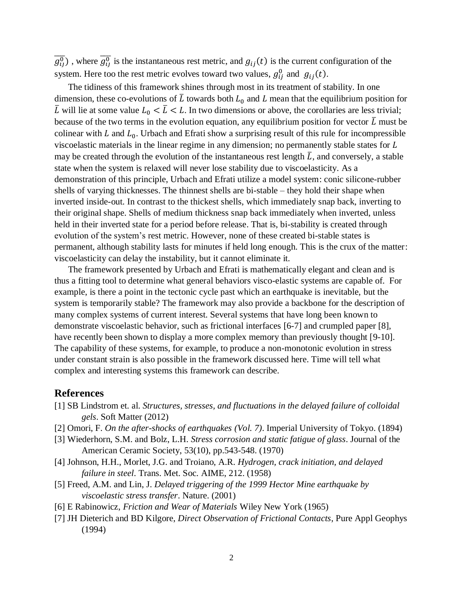$\overline{g_{ij}^0}$ ), where  $\overline{g_{ij}^0}$  is the instantaneous rest metric, and  $g_{ij}(t)$  is the current configuration of the system. Here too the rest metric evolves toward two values,  $g_{ij}^0$  and  $g_{ij}(t)$ .

The tidiness of this framework shines through most in its treatment of stability. In one dimension, these co-evolutions of  $\overline{L}$  towards both  $L_0$  and  $L$  mean that the equilibrium position for  $\overline{L}$  will lie at some value  $L_0 < \overline{L} < L$ . In two dimensions or above, the corollaries are less trivial; because of the two terms in the evolution equation, any equilibrium position for vector  $\bar{L}$  must be colinear with  $L$  and  $L_0$ . Urbach and Efrati show a surprising result of this rule for incompressible viscoelastic materials in the linear regime in any dimension; no permanently stable states for  $L$ may be created through the evolution of the instantaneous rest length  $\overline{L}$ , and conversely, a stable state when the system is relaxed will never lose stability due to viscoelasticity. As a demonstration of this principle, Urbach and Efrati utilize a model system: conic silicone-rubber shells of varying thicknesses. The thinnest shells are bi-stable – they hold their shape when inverted inside-out. In contrast to the thickest shells, which immediately snap back, inverting to their original shape. Shells of medium thickness snap back immediately when inverted, unless held in their inverted state for a period before release. That is, bi-stability is created through evolution of the system's rest metric. However, none of these created bi-stable states is permanent, although stability lasts for minutes if held long enough. This is the crux of the matter: viscoelasticity can delay the instability, but it cannot eliminate it.

The framework presented by Urbach and Efrati is mathematically elegant and clean and is thus a fitting tool to determine what general behaviors visco-elastic systems are capable of. For example, is there a point in the tectonic cycle past which an earthquake is inevitable, but the system is temporarily stable? The framework may also provide a backbone for the description of many complex systems of current interest. Several systems that have long been known to demonstrate viscoelastic behavior, such as frictional interfaces [6-7] and crumpled paper [8], have recently been shown to display a more complex memory than previously thought [9-10]. The capability of these systems, for example, to produce a non-monotonic evolution in stress under constant strain is also possible in the framework discussed here. Time will tell what complex and interesting systems this framework can describe.

## **References**

- [1] SB Lindstrom et. al. *Structures, stresses, and fluctuations in the delayed failure of colloidal gels*. Soft Matter (2012)
- [2] Omori, F. *On the after-shocks of earthquakes (Vol. 7)*. Imperial University of Tokyo. (1894)
- [3] Wiederhorn, S.M. and Bolz, L.H. *Stress corrosion and static fatigue of glass*. Journal of the American Ceramic Society, 53(10), pp.543-548. (1970)
- [4] Johnson, H.H., Morlet, J.G. and Troiano, A.R. *Hydrogen, crack initiation, and delayed failure in steel*. Trans. Met. Soc. AIME, 212. (1958)
- [5] Freed, A.M. and Lin, J. *Delayed triggering of the 1999 Hector Mine earthquake by viscoelastic stress transfer*. Nature. (2001)
- [6] E Rabinowicz, *Friction and Wear of Materials* Wiley New York (1965)
- [7] JH Dieterich and BD Kilgore, *Direct Observation of Frictional Contacts*, Pure Appl Geophys (1994)